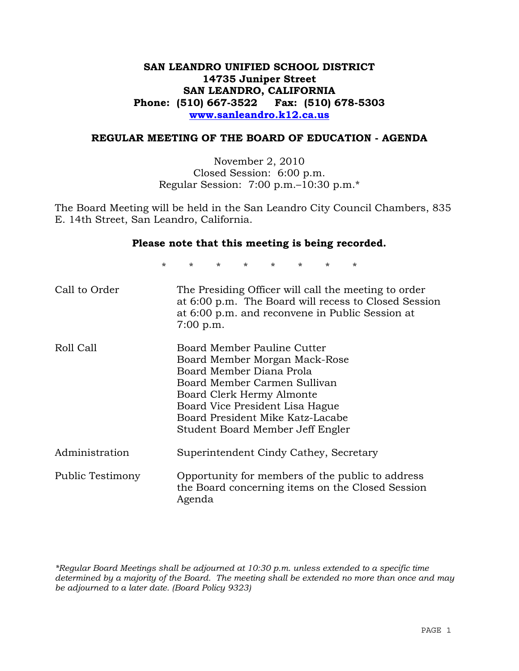# **SAN LEANDRO UNIFIED SCHOOL DISTRICT 14735 Juniper Street SAN LEANDRO, CALIFORNIA Phone: (510) 667-3522 Fax: (510) 678-5303 www.sanleandro.k12.ca.us**

### **REGULAR MEETING OF THE BOARD OF EDUCATION - AGENDA**

November 2, 2010 Closed Session: 6:00 p.m. Regular Session: 7:00 p.m.–10:30 p.m.\*

The Board Meeting will be held in the San Leandro City Council Chambers, 835 E. 14th Street, San Leandro, California.

### **Please note that this meeting is being recorded.**

\* \* \* \* \* \* \* \*

| Call to Order    | The Presiding Officer will call the meeting to order<br>at 6:00 p.m. The Board will recess to Closed Session<br>at 6:00 p.m. and reconvene in Public Session at<br>$7:00$ p.m.                                                                                   |
|------------------|------------------------------------------------------------------------------------------------------------------------------------------------------------------------------------------------------------------------------------------------------------------|
| Roll Call        | Board Member Pauline Cutter<br>Board Member Morgan Mack-Rose<br>Board Member Diana Prola<br>Board Member Carmen Sullivan<br>Board Clerk Hermy Almonte<br>Board Vice President Lisa Hague<br>Board President Mike Katz-Lacabe<br>Student Board Member Jeff Engler |
| Administration   | Superintendent Cindy Cathey, Secretary                                                                                                                                                                                                                           |
| Public Testimony | Opportunity for members of the public to address<br>the Board concerning items on the Closed Session<br>Agenda                                                                                                                                                   |

*\*Regular Board Meetings shall be adjourned at 10:30 p.m. unless extended to a specific time determined by a majority of the Board. The meeting shall be extended no more than once and may be adjourned to a later date. (Board Policy 9323)*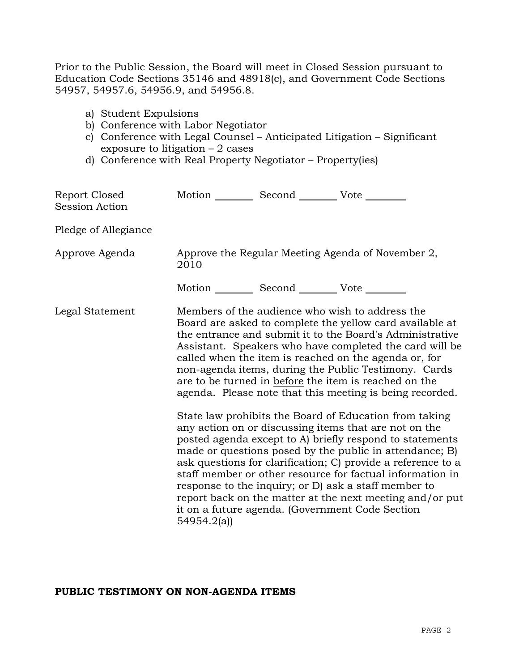Prior to the Public Session, the Board will meet in Closed Session pursuant to Education Code Sections 35146 and 48918(c), and Government Code Sections 54957, 54957.6, 54956.9, and 54956.8.

- a) Student Expulsions
- b) Conference with Labor Negotiator
- c) Conference with Legal Counsel Anticipated Litigation Significant exposure to litigation – 2 cases
- d) Conference with Real Property Negotiator Property(ies)

| Report Closed<br>Session Action | Motion Second Vote                                                                                                                                                                                                                                                                                                                                                                                                                                                                                                                 |  |  |  |
|---------------------------------|------------------------------------------------------------------------------------------------------------------------------------------------------------------------------------------------------------------------------------------------------------------------------------------------------------------------------------------------------------------------------------------------------------------------------------------------------------------------------------------------------------------------------------|--|--|--|
| Pledge of Allegiance            |                                                                                                                                                                                                                                                                                                                                                                                                                                                                                                                                    |  |  |  |
| Approve Agenda                  | Approve the Regular Meeting Agenda of November 2,<br>2010                                                                                                                                                                                                                                                                                                                                                                                                                                                                          |  |  |  |
|                                 | Motion __________ Second __________ Vote ________                                                                                                                                                                                                                                                                                                                                                                                                                                                                                  |  |  |  |
| Legal Statement                 | Members of the audience who wish to address the<br>Board are asked to complete the yellow card available at<br>the entrance and submit it to the Board's Administrative<br>Assistant. Speakers who have completed the card will be<br>called when the item is reached on the agenda or, for<br>non-agenda items, during the Public Testimony. Cards<br>are to be turned in before the item is reached on the<br>agenda. Please note that this meeting is being recorded.<br>State law prohibits the Board of Education from taking |  |  |  |
|                                 | any action on or discussing items that are not on the<br>posted agenda except to A) briefly respond to statements<br>made or questions posed by the public in attendance; B)<br>ask questions for clarification; C) provide a reference to a<br>staff member or other resource for factual information in<br>response to the inquiry; or D) ask a staff member to<br>report back on the matter at the next meeting and/or put<br>it on a future agenda. (Government Code Section<br>54954.2(a)                                     |  |  |  |

### **PUBLIC TESTIMONY ON NON-AGENDA ITEMS**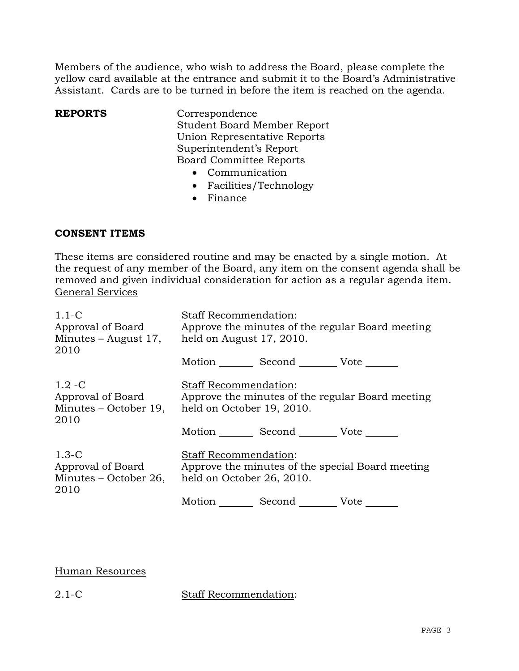Members of the audience, who wish to address the Board, please complete the yellow card available at the entrance and submit it to the Board's Administrative Assistant. Cards are to be turned in before the item is reached on the agenda.

**REPORTS** Correspondence Student Board Member Report Union Representative Reports Superintendent's Report Board Committee Reports

- Communication
- Facilities/Technology
- Finance

## **CONSENT ITEMS**

These items are considered routine and may be enacted by a single motion. At the request of any member of the Board, any item on the consent agenda shall be removed and given individual consideration for action as a regular agenda item. General Services

| $1.1-C$<br>Approval of Board<br>Minutes – August 17,<br>2010    | <b>Staff Recommendation:</b><br>Approve the minutes of the regular Board meeting<br>held on August 17, 2010.  |  |
|-----------------------------------------------------------------|---------------------------------------------------------------------------------------------------------------|--|
|                                                                 | Motion Second Vote                                                                                            |  |
| $1.2 - C$<br>Approval of Board<br>Minutes – October 19,<br>2010 | <b>Staff Recommendation:</b><br>Approve the minutes of the regular Board meeting<br>held on October 19, 2010. |  |
|                                                                 | Motion Second Vote                                                                                            |  |
| $1.3-C$<br>Approval of Board<br>Minutes – October 26,<br>2010   | <b>Staff Recommendation:</b><br>Approve the minutes of the special Board meeting<br>held on October 26, 2010. |  |
|                                                                 | Motion _________ Second __________ Vote _____                                                                 |  |

# Human Resources

2.1-C Staff Recommendation: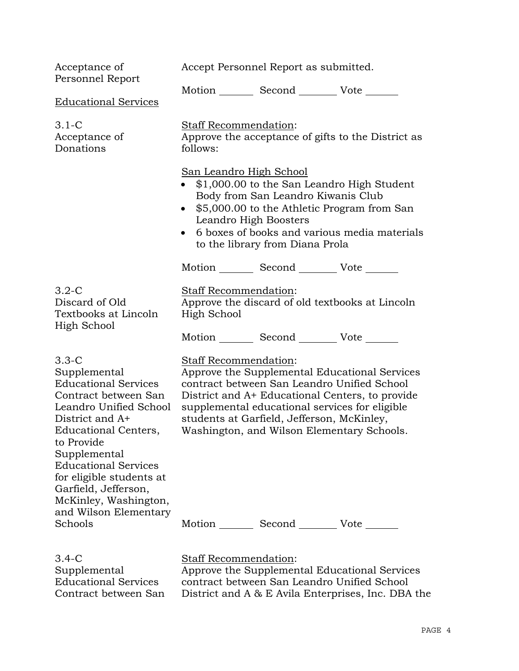| Acceptance of<br>Personnel Report                                                                                                                                                                                                                                                                                        | Accept Personnel Report as submitted.                                                                                                                                                                                                                                                                                         |  |  |
|--------------------------------------------------------------------------------------------------------------------------------------------------------------------------------------------------------------------------------------------------------------------------------------------------------------------------|-------------------------------------------------------------------------------------------------------------------------------------------------------------------------------------------------------------------------------------------------------------------------------------------------------------------------------|--|--|
| <u>Educational Services</u>                                                                                                                                                                                                                                                                                              | Motion _________ Second __________ Vote _______                                                                                                                                                                                                                                                                               |  |  |
| 3.1-C<br>Acceptance of<br>Donations                                                                                                                                                                                                                                                                                      | Staff Recommendation:<br>Approve the acceptance of gifts to the District as<br>follows:                                                                                                                                                                                                                                       |  |  |
|                                                                                                                                                                                                                                                                                                                          | San Leandro High School<br>• \$1,000.00 to the San Leandro High Student<br>Body from San Leandro Kiwanis Club<br>\$5,000.00 to the Athletic Program from San<br>$\bullet$<br>Leandro High Boosters<br>6 boxes of books and various media materials<br>to the library from Diana Prola                                         |  |  |
|                                                                                                                                                                                                                                                                                                                          | Motion _________ Second __________ Vote _______                                                                                                                                                                                                                                                                               |  |  |
| 3.2-C<br>Discard of Old<br>Textbooks at Lincoln<br>High School                                                                                                                                                                                                                                                           | <b>Staff Recommendation:</b><br>Approve the discard of old textbooks at Lincoln<br>High School                                                                                                                                                                                                                                |  |  |
|                                                                                                                                                                                                                                                                                                                          | Motion _________ Second __________ Vote _______                                                                                                                                                                                                                                                                               |  |  |
| $3.3 - C$<br>Supplemental<br><b>Educational Services</b><br>Contract between San<br>Leandro Unified School<br>District and A+<br>Educational Centers,<br>to Provide<br>Supplemental<br><b>Educational Services</b><br>for eligible students at<br>Garfield, Jefferson,<br>McKinley, Washington,<br>and Wilson Elementary | <b>Staff Recommendation:</b><br>Approve the Supplemental Educational Services<br>contract between San Leandro Unified School<br>District and A+ Educational Centers, to provide<br>supplemental educational services for eligible<br>students at Garfield, Jefferson, McKinley,<br>Washington, and Wilson Elementary Schools. |  |  |
| Schools                                                                                                                                                                                                                                                                                                                  | Motion Second Vote                                                                                                                                                                                                                                                                                                            |  |  |
| 3.4-C<br>Supplemental                                                                                                                                                                                                                                                                                                    | Staff Recommendation:<br>Approve the Supplemental Educational Services                                                                                                                                                                                                                                                        |  |  |

Educational Services Contract between San

contract between San Leandro Unified School District and A & E Avila Enterprises, Inc. DBA the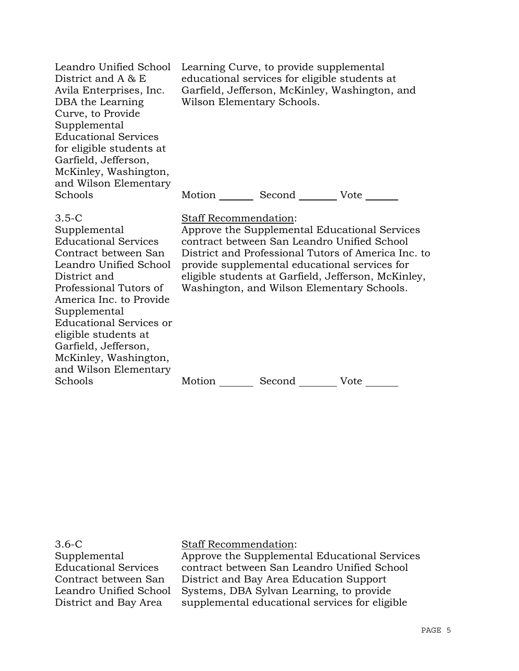| Leandro Unified School<br>District and $A \& E$<br>Avila Enterprises, Inc.<br>DBA the Learning<br>Curve, to Provide<br>Supplemental<br><b>Educational Services</b><br>for eligible students at<br>Garfield, Jefferson,<br>McKinley, Washington,<br>and Wilson Elementary                                                            | Learning Curve, to provide supplemental<br>educational services for eligible students at<br>Garfield, Jefferson, McKinley, Washington, and<br>Wilson Elementary Schools. |                                                                                                                                            |                                                                                                                                                             |
|-------------------------------------------------------------------------------------------------------------------------------------------------------------------------------------------------------------------------------------------------------------------------------------------------------------------------------------|--------------------------------------------------------------------------------------------------------------------------------------------------------------------------|--------------------------------------------------------------------------------------------------------------------------------------------|-------------------------------------------------------------------------------------------------------------------------------------------------------------|
| Schools                                                                                                                                                                                                                                                                                                                             |                                                                                                                                                                          | Second _________ Vote ______                                                                                                               |                                                                                                                                                             |
| $3.5 - C$<br>Supplemental<br><b>Educational Services</b><br>Contract between San<br>Leandro Unified School<br>District and<br>Professional Tutors of<br>America Inc. to Provide<br>Supplemental<br><b>Educational Services or</b><br>eligible students at<br>Garfield, Jefferson,<br>McKinley, Washington,<br>and Wilson Elementary | Staff Recommendation:                                                                                                                                                    | contract between San Leandro Unified School<br>provide supplemental educational services for<br>Washington, and Wilson Elementary Schools. | Approve the Supplemental Educational Services<br>District and Professional Tutors of America Inc. to<br>eligible students at Garfield, Jefferson, McKinley, |
| Schools                                                                                                                                                                                                                                                                                                                             | Motion                                                                                                                                                                   | Second                                                                                                                                     | Vote                                                                                                                                                        |

3.6-C Supplemental Educational Services Contract between San Leandro Unified School District and Bay Area

Staff Recommendation:

Approve the Supplemental Educational Services contract between San Leandro Unified School District and Bay Area Education Support Systems, DBA Sylvan Learning, to provide supplemental educational services for eligible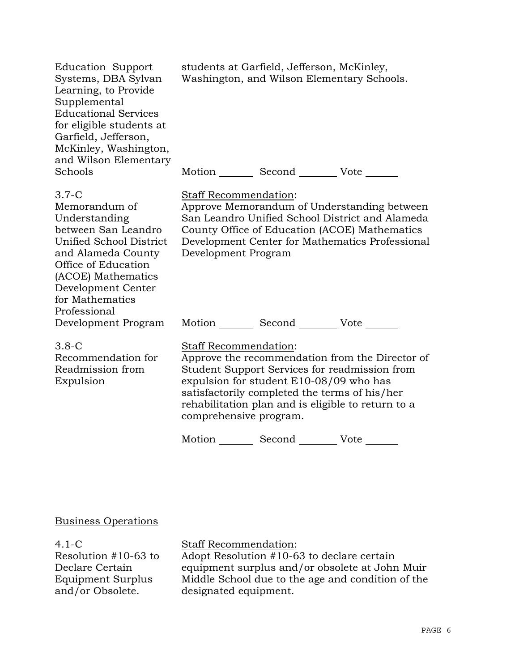| <b>Education Support</b><br>Systems, DBA Sylvan<br>Learning, to Provide<br>Supplemental<br><b>Educational Services</b><br>for eligible students at<br>Garfield, Jefferson,<br>McKinley, Washington,<br>and Wilson Elementary | students at Garfield, Jefferson, McKinley,<br>Washington, and Wilson Elementary Schools.                                                                                                                                                                                                                                                                  |
|------------------------------------------------------------------------------------------------------------------------------------------------------------------------------------------------------------------------------|-----------------------------------------------------------------------------------------------------------------------------------------------------------------------------------------------------------------------------------------------------------------------------------------------------------------------------------------------------------|
| Schools                                                                                                                                                                                                                      | Motion _________ Second _________ Vote _______                                                                                                                                                                                                                                                                                                            |
| $3.7-C$<br>Memorandum of<br>Understanding<br>between San Leandro<br>Unified School District<br>and Alameda County<br>Office of Education<br>(ACOE) Mathematics<br>Development Center<br>for Mathematics<br>Professional      | Staff Recommendation:<br>Approve Memorandum of Understanding between<br>San Leandro Unified School District and Alameda<br>County Office of Education (ACOE) Mathematics<br>Development Center for Mathematics Professional<br>Development Program                                                                                                        |
| Development Program                                                                                                                                                                                                          | Motion _________ Second __________ Vote _______                                                                                                                                                                                                                                                                                                           |
| $3.8-C$<br>Recommendation for<br>Readmission from<br>Expulsion                                                                                                                                                               | Staff Recommendation:<br>Approve the recommendation from the Director of<br>Student Support Services for readmission from<br>expulsion for student E10-08/09 who has<br>satisfactorily completed the terms of his/her<br>rehabilitation plan and is eligible to return to a<br>comprehensive program.<br>Second __________ Vote _______<br>Motion _______ |

# Business Operations

4.1-C Resolution #10-63 to Declare Certain Equipment Surplus and/or Obsolete.

## Staff Recommendation:

Adopt Resolution #10-63 to declare certain equipment surplus and/or obsolete at John Muir Middle School due to the age and condition of the designated equipment.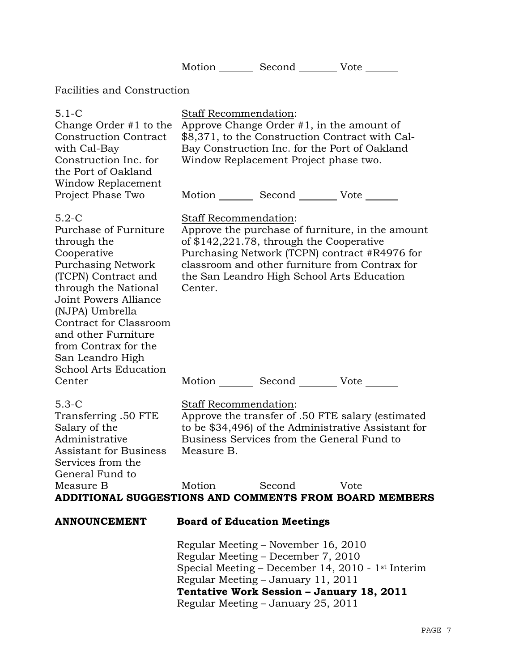|                                                                                                                                                                                                                                                                                                                                                           |                                                                                                                                                                                                                    |                                                                                                                                                                                             | Motion _________ Second __________ Vote _______                                                                                                                                                                                                                                                          |
|-----------------------------------------------------------------------------------------------------------------------------------------------------------------------------------------------------------------------------------------------------------------------------------------------------------------------------------------------------------|--------------------------------------------------------------------------------------------------------------------------------------------------------------------------------------------------------------------|---------------------------------------------------------------------------------------------------------------------------------------------------------------------------------------------|----------------------------------------------------------------------------------------------------------------------------------------------------------------------------------------------------------------------------------------------------------------------------------------------------------|
| Facilities and Construction                                                                                                                                                                                                                                                                                                                               |                                                                                                                                                                                                                    |                                                                                                                                                                                             |                                                                                                                                                                                                                                                                                                          |
| $5.1-C$<br>Change Order $#1$ to the<br><b>Construction Contract</b><br>with Cal-Bay<br>Construction Inc. for<br>the Port of Oakland<br>Window Replacement                                                                                                                                                                                                 | Staff Recommendation:<br>Approve Change Order $#1$ , in the amount of<br>\$8,371, to the Construction Contract with Cal-<br>Bay Construction Inc. for the Port of Oakland<br>Window Replacement Project phase two. |                                                                                                                                                                                             |                                                                                                                                                                                                                                                                                                          |
| Project Phase Two<br>$5.2-C$<br>Purchase of Furniture<br>through the<br>Cooperative<br><b>Purchasing Network</b><br>(TCPN) Contract and<br>through the National<br><b>Joint Powers Alliance</b><br>(NJPA) Umbrella<br>Contract for Classroom<br>and other Furniture<br>from Contrax for the<br>San Leandro High<br><b>School Arts Education</b><br>Center | Center.                                                                                                                                                                                                            | Staff Recommendation:<br>of \$142,221.78, through the Cooperative                                                                                                                           | Motion _________ Second ___________ Vote _______<br>Approve the purchase of furniture, in the amount<br>Purchasing Network (TCPN) contract #R4976 for<br>classroom and other furniture from Contrax for<br>the San Leandro High School Arts Education<br>Motion _________ Second __________ Vote _______ |
| $5.3-C$<br>Transferring .50 FTE<br>Salary of the<br>Administrative<br>Assistant for Business<br>Services from the<br>General Fund to<br>Measure B                                                                                                                                                                                                         | Measure B.                                                                                                                                                                                                         | Staff Recommendation:<br>Motion Second Vote                                                                                                                                                 | Approve the transfer of .50 FTE salary (estimated<br>to be \$34,496) of the Administrative Assistant for<br>Business Services from the General Fund to<br>ADDITIONAL SUGGESTIONS AND COMMENTS FROM BOARD MEMBERS                                                                                         |
| <b>ANNOUNCEMENT</b>                                                                                                                                                                                                                                                                                                                                       |                                                                                                                                                                                                                    | <b>Board of Education Meetings</b><br>Regular Meeting – November 16, 2010<br>Regular Meeting - December 7, 2010<br>Regular Meeting - January 11, 2011<br>Regular Meeting - January 25, 2011 | Special Meeting - December 14, 2010 - 1 <sup>st</sup> Interim<br>Tentative Work Session - January 18, 2011                                                                                                                                                                                               |